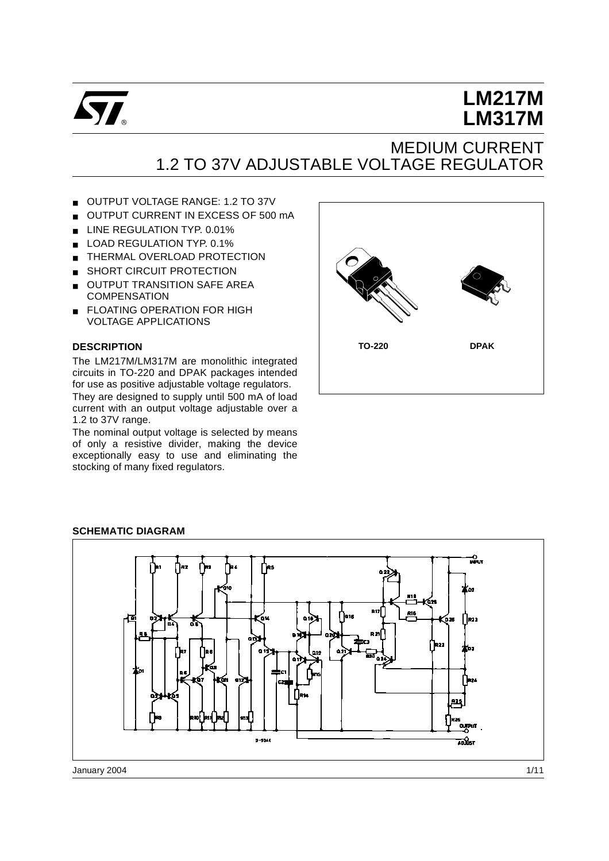

# **LM217M LM317M**

# MEDIUM CURRENT 1.2 TO 37V ADJUSTABLE VOLTAGE REGULATOR

- OUTPUT VOLTAGE RANGE: 1.2 TO 37V
- OUTPUT CURRENT IN EXCESS OF 500 mA
- LINE REGULATION TYP. 0.01%
- LOAD REGULATION TYP. 0.1%
- **THERMAL OVERLOAD PROTECTION**
- SHORT CIRCUIT PROTECTION
- OUTPUT TRANSITION SAFE AREA **COMPENSATION**
- **ELOATING OPERATION FOR HIGH** VOLTAGE APPLICATIONS

#### **DESCRIPTION**

The LM217M/LM317M are monolithic integrated circuits in TO-220 and DPAK packages intended for use as positive adjustable voltage regulators.

They are designed to supply until 500 mA of load current with an output voltage adjustable over a 1.2 to 37V range.

The nominal output voltage is selected by means of only a resistive divider, making the device exceptionally easy to use and eliminating the stocking of many fixed regulators.





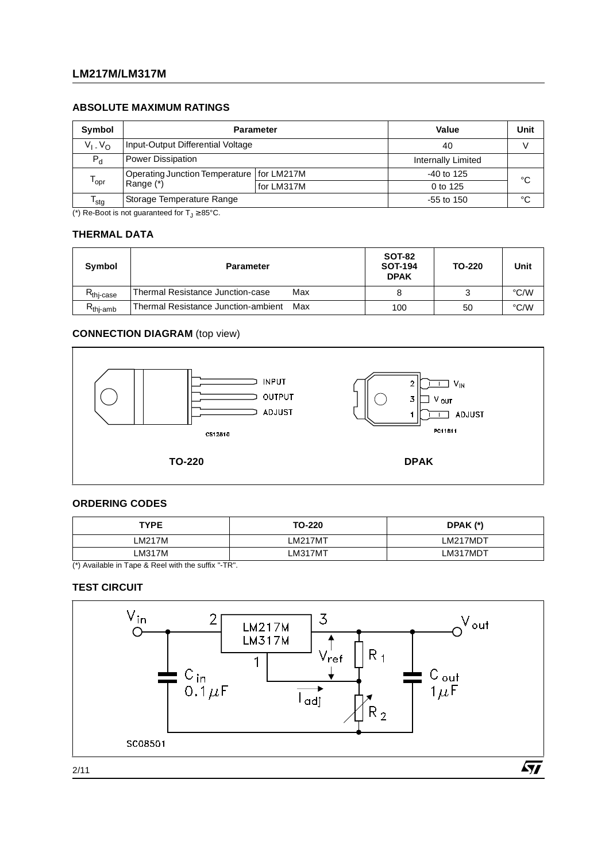# **LM217M/LM317M**

#### **ABSOLUTE MAXIMUM RATINGS**

| Symbol                      | <b>Parameter</b>                            | Value              | Unit         |    |
|-----------------------------|---------------------------------------------|--------------------|--------------|----|
| $V_1$ , $V_{\Omega}$        | Input-Output Differential Voltage           | 40                 |              |    |
| $P_{d}$                     | <b>Power Dissipation</b>                    | Internally Limited |              |    |
|                             | Operating Junction Temperature   for LM217M |                    | $-40$ to 125 | °C |
| $\mathsf{T}_{\mathsf{opr}}$ | Range (*)                                   | for LM317M         | 0 to 125     |    |
| <sup>I</sup> stq            | Storage Temperature Range                   | $-55$ to 150       | °C           |    |

(\*) Re-Boot is not guaranteed for  $T_J \geq 85^{\circ}$ C.

# **THERMAL DATA**

| Symbol                | <b>Parameter</b>                           | <b>SOT-82</b><br><b>SOT-194</b><br><b>DPAK</b> | TO-220 | Unit |
|-----------------------|--------------------------------------------|------------------------------------------------|--------|------|
| $R_{\text{thi-case}}$ | Thermal Resistance Junction-case<br>Max    |                                                |        | °C/W |
| $R_{thi-amb}$         | Thermal Resistance Junction-ambient<br>Max | 100                                            | 50     | °C/W |

### **CONNECTION DIAGRAM** (top view)



### **ORDERING CODES**

| <b>TYPE</b> | TO-220  | DPAK (*) |
|-------------|---------|----------|
| LM217M      | LM217MT | LM217MDT |
| LM317M      | LM317MT | LM317MDT |

(\*) Available in Tape & Reel with the suffix "-TR".

#### **TEST CIRCUIT**

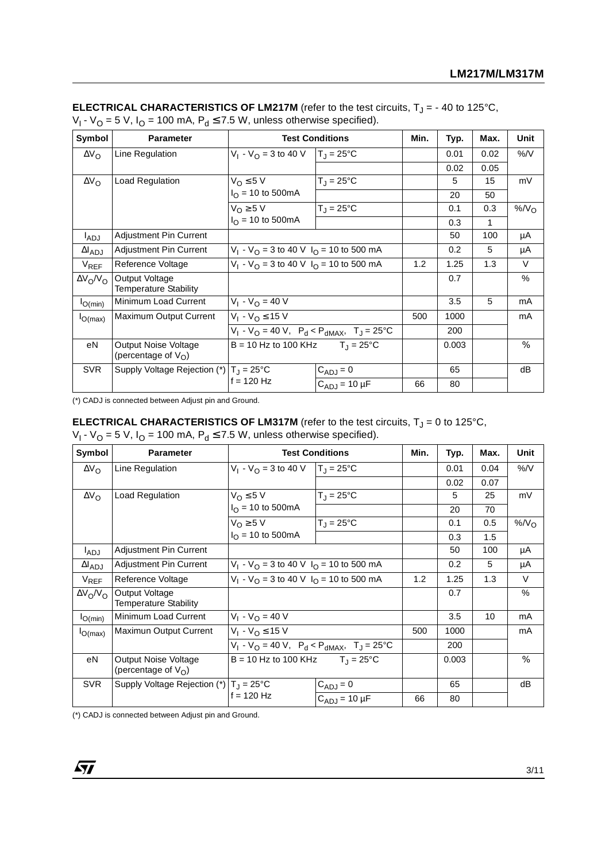| Symbol                 | <b>Parameter</b>                                 |                                                              | <b>Test Conditions</b>    | Min.  | Typ. | Max. | Unit   |
|------------------------|--------------------------------------------------|--------------------------------------------------------------|---------------------------|-------|------|------|--------|
| $\Delta V_{\rm O}$     | Line Regulation                                  | $V_1 - V_{\Omega} = 3$ to 40 V                               | $T_{\rm J}$ = 25°C        |       | 0.01 | 0.02 | %N     |
|                        |                                                  |                                                              |                           |       | 0.02 | 0.05 |        |
| $\Delta V_{\rm O}$     | Load Regulation                                  | $V_{\Omega} \leq 5 V$                                        | $T_{\rm J} = 25^{\circ}C$ |       | 5    | 15   | mV     |
|                        |                                                  | $I_{\Omega}$ = 10 to 500mA                                   |                           |       | 20   | 50   |        |
|                        |                                                  | $V_{\Omega} \geq 5$ V                                        | $T_{\rm J} = 25^{\circ}C$ |       | 0.1  | 0.3  | % $NO$ |
|                        |                                                  | $I_{\Omega}$ = 10 to 500mA                                   |                           |       | 0.3  | 1    |        |
| l <sub>ADJ</sub>       | <b>Adjustment Pin Current</b>                    |                                                              |                           | 50    | 100  | μA   |        |
| $\Delta I_{ADJ}$       | Adjustment Pin Current                           | $V_1$ - $V_{\Omega}$ = 3 to 40 V $I_{\Omega}$ = 10 to 500 mA |                           | 0.2   | 5    | μA   |        |
| <b>V<sub>REF</sub></b> | Reference Voltage                                | $V_1$ - $V_O$ = 3 to 40 V $I_O$ = 10 to 500 mA               |                           | 1.2   | 1.25 | 1.3  | $\vee$ |
| $\Delta V_O/V_O$       | Output Voltage<br><b>Temperature Stability</b>   |                                                              |                           | 0.7   |      | $\%$ |        |
| $I_{O(min)}$           | Minimum Load Current                             | $V_1 - V_{\Omega} = 40 V$                                    |                           |       | 3.5  | 5    | mA     |
| $I_{O(max)}$           | Maximum Output Current                           | $V_1 - V_0 \leq 15$ V                                        |                           | 500   | 1000 |      | mA     |
|                        |                                                  | $V_1$ - $V_O$ = 40 V, $P_d$ < $P_{dMAX}$ , $T_J$ = 25 °C     |                           | 200   |      |      |        |
| eN                     | Output Noise Voltage<br>(percentage of $V_O$ )   | $B = 10$ Hz to 100 KHz $T_{\rm J} = 25^{\circ}$ C            |                           | 0.003 |      | $\%$ |        |
| <b>SVR</b>             | Supply Voltage Rejection (*) $T_J = 25^{\circ}C$ | $C_{ADJ} = 0$                                                |                           |       | 65   |      | dB     |
|                        |                                                  | $f = 120 Hz$<br>$C_{ADJ}$ = 10 µF                            |                           | 66    | 80   |      |        |

**ELECTRICAL CHARACTERISTICS OF LM217M** (refer to the test circuits,  $T_J$  = - 40 to 125°C,  $V_1$  -  $V_O$  = 5 V, I<sub>O</sub> = 100 mA, P<sub>d</sub>  $\leq$  7.5 W, unless otherwise specified).

(\*) CADJ is connected between Adjust pin and Ground.

# **ELECTRICAL CHARACTERISTICS OF LM317M** (refer to the test circuits,  $T_J = 0$  to 125°C,  $V_1$  -  $V_O$  = 5 V,  $I_O$  = 100 mA,  $P_d \le 7.5$  W, unless otherwise specified).

| Symbol             | <b>Parameter</b>                                      |                                                              | <b>Test Conditions</b>       | Min.  | Typ. | Max.   | Unit   |
|--------------------|-------------------------------------------------------|--------------------------------------------------------------|------------------------------|-------|------|--------|--------|
| $\Delta V_{\rm O}$ | Line Regulation                                       | $V_1 - V_{\Omega} = 3$ to 40 V                               | $T_{\rm d}$ = 25°C           |       | 0.01 | 0.04   | %N     |
|                    |                                                       |                                                              |                              |       | 0.02 | 0.07   |        |
| $\Delta V_{\rm O}$ | Load Regulation                                       | $V_{\Omega} \leq 5 V$                                        | $T_{\rm J}$ = 25°C           |       | 5    | 25     | mV     |
|                    |                                                       | $I_{\Omega}$ = 10 to 500mA                                   |                              |       | 20   | 70     |        |
|                    |                                                       | $V_{\Omega} \geq 5$ V                                        | $T_{\text{J}} = 25^{\circ}C$ |       | 0.1  | 0.5    | % $NO$ |
|                    |                                                       | $I_{\Omega}$ = 10 to 500mA                                   |                              |       | 0.3  | 1.5    |        |
| l <sub>ADJ</sub>   | <b>Adjustment Pin Current</b>                         |                                                              |                              | 50    | 100  | μA     |        |
| $\Delta I_{ADJ}$   | <b>Adjustment Pin Current</b>                         | $V_1$ - $V_{\Omega}$ = 3 to 40 V $I_{\Omega}$ = 10 to 500 mA |                              | 0.2   | 5    | μA     |        |
| $V_{REF}$          | Reference Voltage                                     | $V_1$ - $V_{\Omega}$ = 3 to 40 V $I_{\Omega}$ = 10 to 500 mA | 1.2                          | 1.25  | 1.3  | $\vee$ |        |
| $\Delta V_0/V_0$   | Output Voltage<br><b>Temperature Stability</b>        |                                                              |                              |       | 0.7  |        | %      |
| $I_{O(min)}$       | Minimum Load Current                                  | $V_1 - V_0 = 40 V$                                           |                              |       | 3.5  | 10     | mA     |
| $I_{O(max)}$       | Maximun Output Current                                | $V_1 - V_0 \le 15 V$                                         |                              | 500   | 1000 |        | mA     |
|                    |                                                       | $V_1$ - $V_O$ = 40 V, $P_d$ < $P_{dMAX}$ , $T_J$ = 25°C      |                              | 200   |      |        |        |
| eN                 | Output Noise Voltage<br>(percentage of $V_{\Omega}$ ) | $B = 10$ Hz to 100 KHz $T_A = 25^{\circ}$ C                  |                              | 0.003 |      | $\%$   |        |
| <b>SVR</b>         | Supply Voltage Rejection (*) $ T_1  = 25^{\circ}C$    | $C_{ADJ} = 0$                                                |                              |       | 65   |        | dB     |
|                    |                                                       | $f = 120$ Hz<br>$C_{ADJ}$ = 10 µF                            |                              | 66    | 80   |        |        |

(\*) CADJ is connected between Adjust pin and Ground.

 $\sqrt{M}$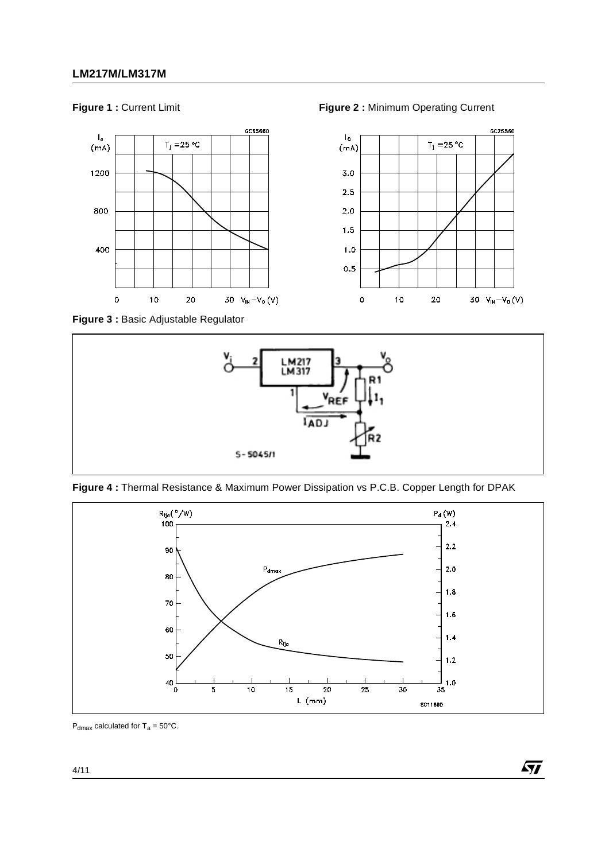

**Figure 1 :** Current Limit **Figure 2 :** Minimum Operating Current

**Figure 3 :** Basic Adjustable Regulator







 $\sqrt{5}$ 

 $P_{dmax}$  calculated for T<sub>a</sub> = 50°C.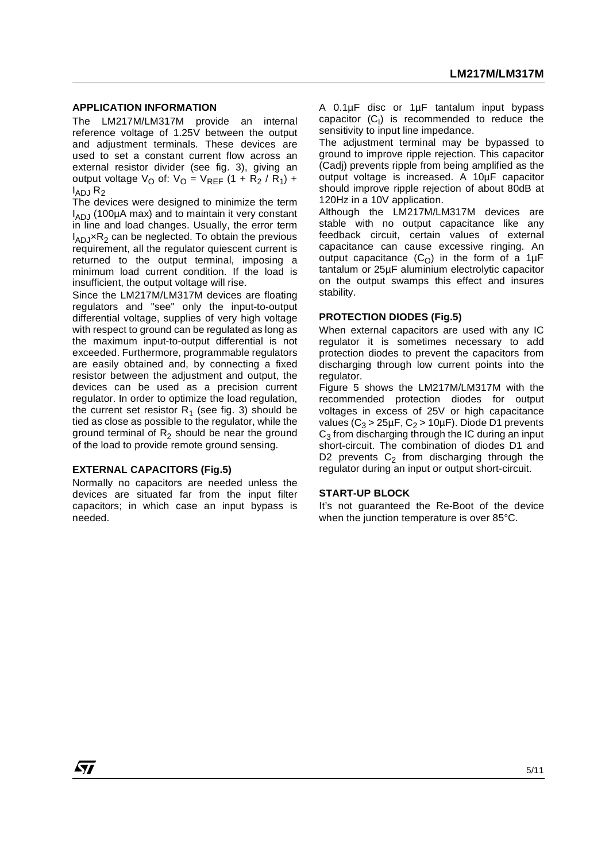#### **APPLICATION INFORMATION**

The LM217M/LM317M provide an internal reference voltage of 1.25V between the output and adjustment terminals. These devices are used to set a constant current flow across an external resistor divider (see fig. 3), giving an output voltage  $V_{\text{O}}$  of:  $V_{\text{O}} = V_{\text{REF}} (1 + R_2 / R_1)$  + I ADJ R2

The devices were designed to minimize the term I ADJ (100µA max) and to maintain it very constant in line and load changes. Usually, the error term  $I_{AD}$  $\times$ R<sub>2</sub> can be neglected. To obtain the previous requirement, all the regulator quiescent current is returned to the output terminal, imposing a minimum load current condition. If the load is insufficient, the output voltage will rise.

Since the LM217M/LM317M devices are floating regulators and "see" only the input-to-output differential voltage, supplies of very high voltage with respect to ground can be regulated as long as the maximum input-to-output differential is not exceeded. Furthermore, programmable regulators are easily obtained and, by connecting a fixed resistor between the adjustment and output, the devices can be used as a precision current regulator. In order to optimize the load regulation, the current set resistor  $R_1$  (see fig. 3) should be tied as close as possible to the regulator, while the ground terminal of  $R_2$  should be near the ground of the load to provide remote ground sensing.

#### **EXTERNAL CAPACITORS (Fig.5)**

Normally no capacitors are needed unless the devices are situated far from the input filter capacitors; in which case an input bypass is needed.

A 0.1µF disc or 1µF tantalum input bypass  $capacitor$   $(C<sub>1</sub>)$  is recommended to reduce the sensitivity to input line impedance.

The adjustment terminal may be bypassed to ground to improve ripple rejection. This capacitor (Cadj) prevents ripple from being amplified as the output voltage is increased. A 10µF capacitor should improve ripple rejection of about 80dB at 120Hz in a 10V application.

Although the LM217M/LM317M devices are stable with no output capacitance like any feedback circuit, certain values of external capacitance can cause excessive ringing. An output capacitance  $(C<sub>O</sub>)$  in the form of a 1µF tantalum or 25µF aluminium electrolytic capacitor on the output swamps this effect and insures stability.

#### **PROTECTION DIODES (Fig.5)**

When external capacitors are used with any IC regulator it is sometimes necessary to add protection diodes to prevent the capacitors from discharging through low current points into the regulator.

Figure 5 shows the LM217M/LM317M with the recommended protection diodes for output voltages in excess of 25V or high capacitance values ( $C_3 > 25 \mu F$ ,  $C_2 > 10 \mu F$ ). Diode D1 prevents  $C_3$  from discharging through the IC during an input short-circuit. The combination of diodes D1 and D2 prevents  $C_2$  from discharging through the regulator during an input or output short-circuit.

#### **START-UP BLOCK**

It's not guaranteed the Re-Boot of the device when the junction temperature is over 85°C.

57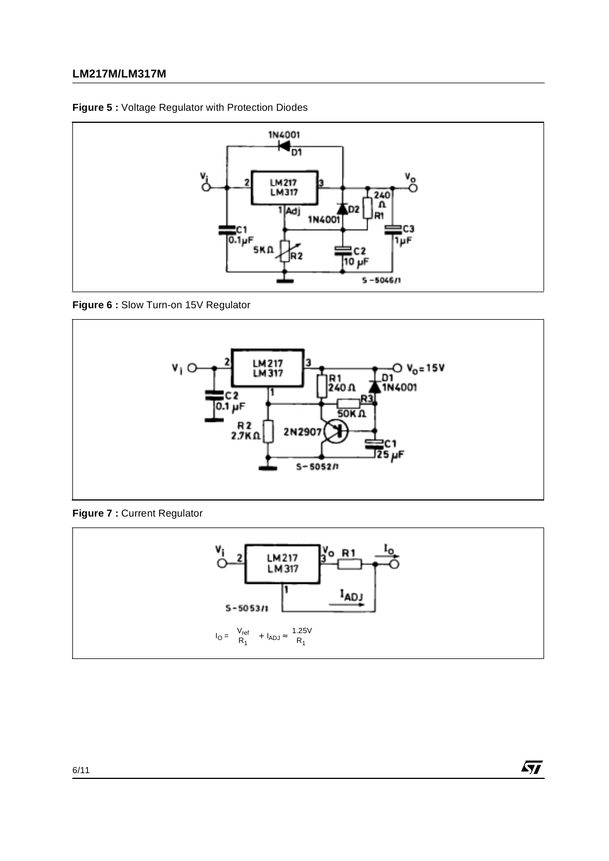# **LM217M/LM317M**





### **Figure 6 :** Slow Turn-on 15V Regulator



**Figure 7 :** Current Regulator



 $\sqrt{M}$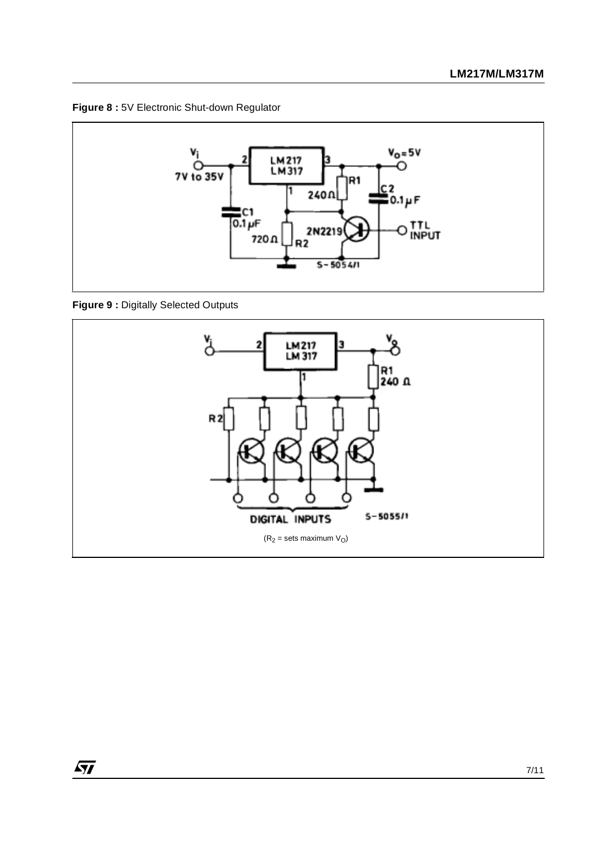**Figure 8 :** 5V Electronic Shut-down Regulator



**Figure 9 :** Digitally Selected Outputs

 $\sqrt{27}$ 

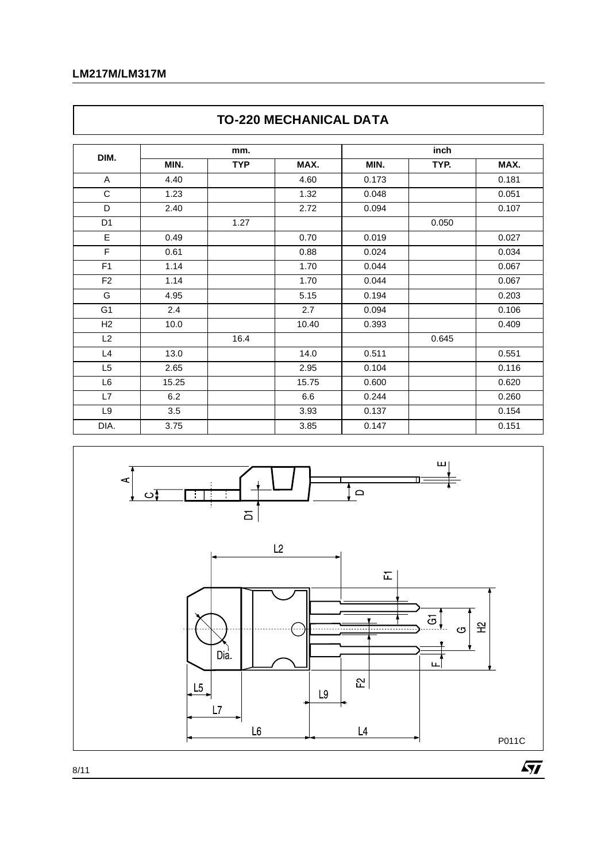# **LM217M/LM317M**

 $\lceil$ 

|                |       |            | <u>IU-ZZU MEUNANIUAL DA I A</u> |       |       |       |
|----------------|-------|------------|---------------------------------|-------|-------|-------|
|                | mm.   |            |                                 |       |       |       |
| DIM.           | MIN.  | <b>TYP</b> | MAX.                            | MIN.  | TYP.  | MAX.  |
| A              | 4.40  |            | 4.60                            | 0.173 |       | 0.181 |
| C              | 1.23  |            | 1.32                            | 0.048 |       | 0.051 |
| D              | 2.40  |            | 2.72                            | 0.094 |       | 0.107 |
| D <sub>1</sub> |       | 1.27       |                                 |       | 0.050 |       |
| E              | 0.49  |            | 0.70                            | 0.019 |       | 0.027 |
| F              | 0.61  |            | 0.88                            | 0.024 |       | 0.034 |
| F <sub>1</sub> | 1.14  |            | 1.70                            | 0.044 |       | 0.067 |
| F <sub>2</sub> | 1.14  |            | 1.70                            | 0.044 |       | 0.067 |
| G              | 4.95  |            | 5.15                            | 0.194 |       | 0.203 |
| G <sub>1</sub> | 2.4   |            | 2.7                             | 0.094 |       | 0.106 |
| H <sub>2</sub> | 10.0  |            | 10.40                           | 0.393 |       | 0.409 |
| L2             |       | 16.4       |                                 |       | 0.645 |       |
| L4             | 13.0  |            | 14.0                            | 0.511 |       | 0.551 |
| L <sub>5</sub> | 2.65  |            | 2.95                            | 0.104 |       | 0.116 |
| L <sub>6</sub> | 15.25 |            | 15.75                           | 0.600 |       | 0.620 |
| L7             | 6.2   |            | 6.6                             | 0.244 |       | 0.260 |
| L <sub>9</sub> | 3.5   |            | 3.93                            | 0.137 |       | 0.154 |
| DIA.           | 3.75  |            | 3.85                            | 0.147 |       | 0.151 |



# **TO-220 MECHANICAL DATA**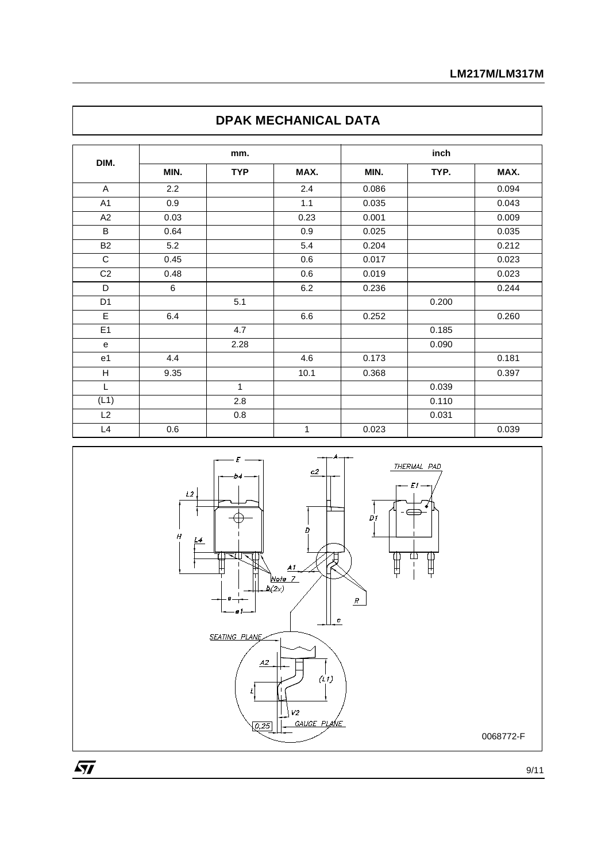|                |      | mm.          |      |       | inch  |       |  |
|----------------|------|--------------|------|-------|-------|-------|--|
| DIM.           | MIN. | <b>TYP</b>   | MAX. | MIN.  | TYP.  | MAX.  |  |
| A              | 2.2  |              | 2.4  | 0.086 |       | 0.094 |  |
| A <sub>1</sub> | 0.9  |              | 1.1  | 0.035 |       | 0.043 |  |
| A2             | 0.03 |              | 0.23 | 0.001 |       | 0.009 |  |
| B              | 0.64 |              | 0.9  | 0.025 |       | 0.035 |  |
| <b>B2</b>      | 5.2  |              | 5.4  | 0.204 |       | 0.212 |  |
| $\mathbf C$    | 0.45 |              | 0.6  | 0.017 |       | 0.023 |  |
| C <sub>2</sub> | 0.48 |              | 0.6  | 0.019 |       | 0.023 |  |
| D              | 6    |              | 6.2  | 0.236 |       | 0.244 |  |
| D <sub>1</sub> |      | 5.1          |      |       | 0.200 |       |  |
| Ε              | 6.4  |              | 6.6  | 0.252 |       | 0.260 |  |
| E1             |      | 4.7          |      |       | 0.185 |       |  |
| $\mathbf e$    |      | 2.28         |      |       | 0.090 |       |  |
| e1             | 4.4  |              | 4.6  | 0.173 |       | 0.181 |  |
| $\overline{H}$ | 9.35 |              | 10.1 | 0.368 |       | 0.397 |  |
| L              |      | $\mathbf{1}$ |      |       | 0.039 |       |  |
| (L1)           |      | 2.8          |      |       | 0.110 |       |  |
| L2             |      | 0.8          |      |       | 0.031 |       |  |
| L4             | 0.6  |              | 1    | 0.023 |       | 0.039 |  |



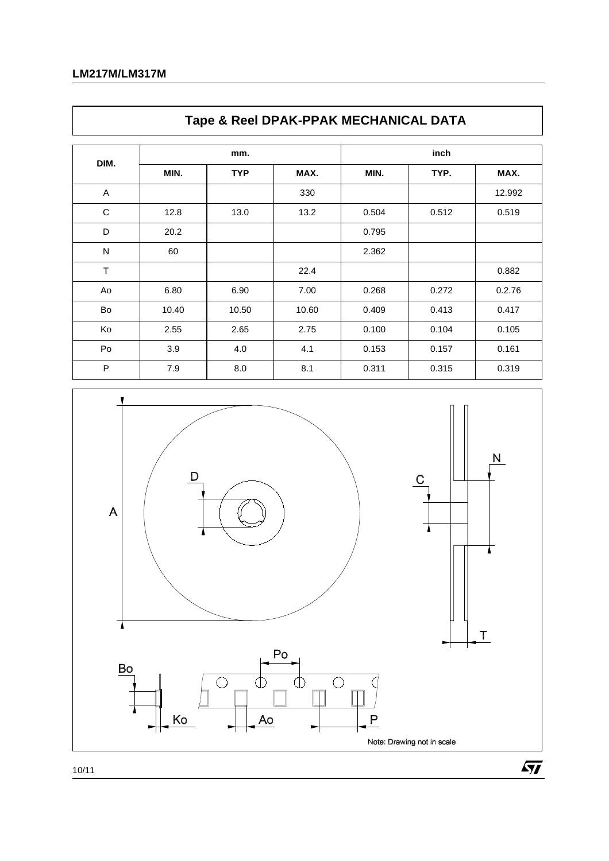$\mathsf{l}$ 

|             |       |            | Tape & Reel DPAN-PPAN MEUNANIUAL DATA |       |       |        |
|-------------|-------|------------|---------------------------------------|-------|-------|--------|
| DIM.        |       | mm.        |                                       |       |       |        |
|             | MIN.  | <b>TYP</b> | MAX.                                  | MIN.  | TYP.  | MAX.   |
| A           |       |            | 330                                   |       |       | 12.992 |
| $\mathsf C$ | 12.8  | 13.0       | 13.2                                  | 0.504 | 0.512 | 0.519  |
| D           | 20.2  |            |                                       | 0.795 |       |        |
| ${\sf N}$   | 60    |            |                                       | 2.362 |       |        |
| T           |       |            | 22.4                                  |       |       | 0.882  |
| Ao          | 6.80  | 6.90       | 7.00                                  | 0.268 | 0.272 | 0.2.76 |
| Bo          | 10.40 | 10.50      | 10.60                                 | 0.409 | 0.413 | 0.417  |
| Ko          | 2.55  | 2.65       | 2.75                                  | 0.100 | 0.104 | 0.105  |
| Po          | 3.9   | 4.0        | 4.1                                   | 0.153 | 0.157 | 0.161  |
| P           | 7.9   | 8.0        | 8.1                                   | 0.311 | 0.315 | 0.319  |





10/11